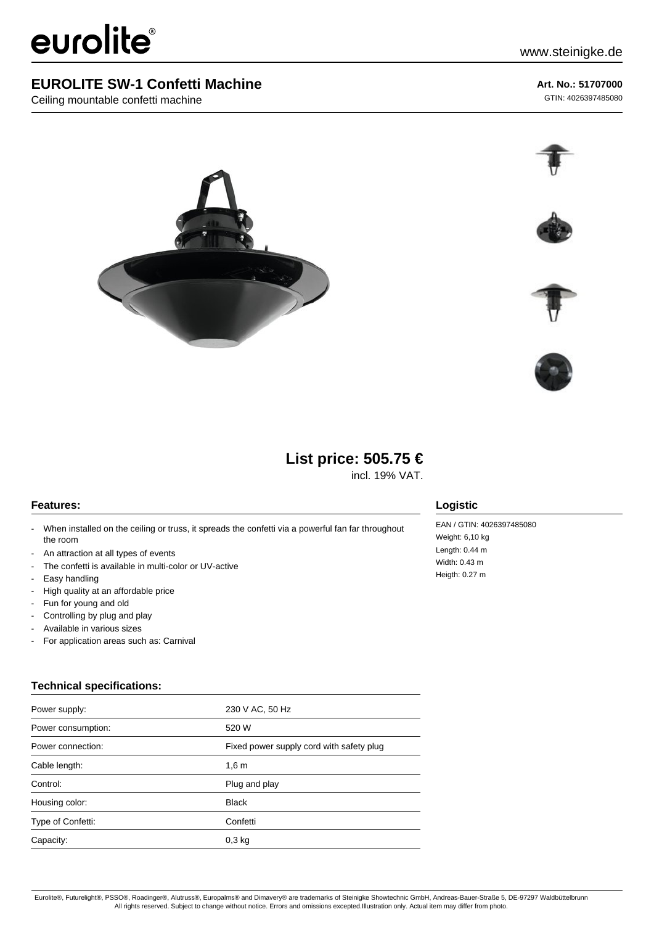# eurolite®

## **EUROLITE SW-1 Confetti Machine**

Ceiling mountable confetti machine

### **Art. No.: 51707000**

GTIN: 4026397485080











## **List price: 505.75 €**

incl. 19% VAT.

#### **Features:**

- When installed on the ceiling or truss, it spreads the confetti via a powerful fan far throughout the room
- An attraction at all types of events
- The confetti is available in multi-color or UV-active
- Easy handling
- High quality at an affordable price
- Fun for young and old
- Controlling by plug and play
- Available in various sizes
- For application areas such as: Carnival

## **Technical specifications:**

| Power supply:      | 230 V AC, 50 Hz                          |
|--------------------|------------------------------------------|
| Power consumption: | 520 W                                    |
| Power connection:  | Fixed power supply cord with safety plug |
| Cable length:      | 1,6m                                     |
| Control:           | Plug and play                            |
| Housing color:     | <b>Black</b>                             |
| Type of Confetti:  | Confetti                                 |
| Capacity:          | $0,3$ kg                                 |

#### **Logistic**

EAN / GTIN: 4026397485080 Weight: 6,10 kg Length: 0.44 m Width: 0.43 m Heigth: 0.27 m

Eurolite®, Futurelight®, PSSO®, Roadinger®, Alutruss®, Europalms® and Dimavery® are trademarks of Steinigke Showtechnic GmbH, Andreas-Bauer-Straße 5, DE-97297 Waldbüttelbrunn All rights reserved. Subject to change without notice. Errors and omissions excepted.Illustration only. Actual item may differ from photo.